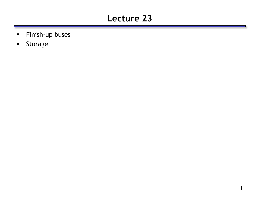## **Lecture 23**

- **Finish-up buses**
- **Storage**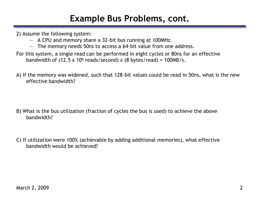### **Example Bus Problems, cont.**

2) Assume the following system:

- A CPU and memory share a 32-bit bus running at 100MHz.
- The memory needs 50ns to access a 64-bit value from one address.
- For this system, a single read can be performed in eight cycles or 80ns for an effective bandwidth of  $(12.5 \times 10^6 \text{ reads/second}) \times (8 \text{ bytes/read}) = 100 \text{MB/s}.$
- A) If the memory was widened, such that 128-bit values could be read in 50ns, what is the new effective bandwidth?

- B) What is the bus utilization (fraction of cycles the bus is used) to achieve the above bandwidth?
- C) If utilization were 100% (achievable by adding additional memories), what effective bandwidth would be achieved?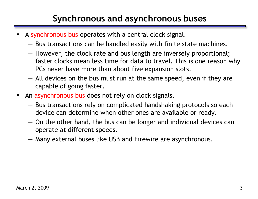## **Synchronous and asynchronous buses**

- A synchronous bus operates with a central clock signal.
	- Bus transactions can be handled easily with finite state machines.
	- However, the clock rate and bus length are inversely proportional; faster clocks mean less time for data to travel. This is one reason why PCs never have more than about five expansion slots.
	- All devices on the bus must run at the same speed, even if they are capable of going faster.
- An asynchronous bus does not rely on clock signals.
	- Bus transactions rely on complicated handshaking protocols so each device can determine when other ones are available or ready.
	- On the other hand, the bus can be longer and individual devices can operate at different speeds.
	- Many external buses like USB and Firewire are asynchronous.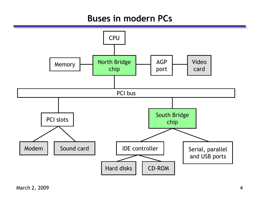#### **Buses in modern PCs**

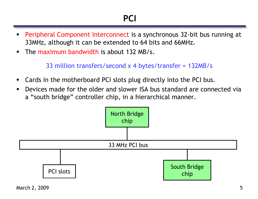- Peripheral Component Interconnect is a synchronous 32-bit bus running at 33MHz, although it can be extended to 64 bits and 66MHz.
- **The maximum bandwidth is about 132 MB/s.**

33 million transfers/second x 4 bytes/transfer = 132MB/s

- Cards in the motherboard PCI slots plug directly into the PCI bus.
- Devices made for the older and slower ISA bus standard are connected via a "south bridge" controller chip, in a hierarchical manner.

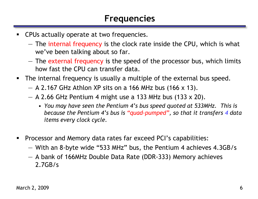- **CPUs actually operate at two frequencies.** 
	- The internal frequency is the clock rate inside the CPU, which is what we've been talking about so far.
	- The external frequency is the speed of the processor bus, which limits how fast the CPU can transfer data.
- The internal frequency is usually a multiple of the external bus speed.
	- $-$  A 2.167 GHz Athlon XP sits on a 166 MHz bus (166 x 13).
	- $-$  A 2.66 GHz Pentium 4 might use a 133 MHz bus (133 x 20).
		- *You may have seen the Pentium 4's bus speed quoted at 533MHz. This is because the Pentium 4's bus is "quad-pumped", so that it transfers 4 data items every clock cycle.*
- **Processor and Memory data rates far exceed PCI's capabilities:** 
	- With an 8-byte wide "533 MHz" bus, the Pentium 4 achieves 4.3GB/s
	- A bank of 166MHz Double Data Rate (DDR-333) Memory achieves 2.7GB/s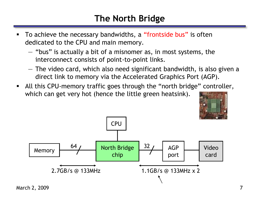## **The North Bridge**

- To achieve the necessary bandwidths, a "frontside bus" is often dedicated to the CPU and main memory.
	- "bus" is actually a bit of a misnomer as, in most systems, the interconnect consists of point-to-point links.
	- The video card, which also need significant bandwidth, is also given a direct link to memory via the Accelerated Graphics Port (AGP).
- All this CPU-memory traffic goes through the "north bridge" controller, which can get very hot (hence the little green heatsink).



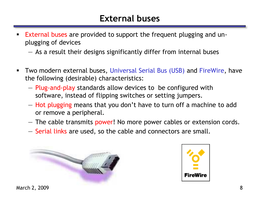#### **External buses**

- **External buses are provided to support the frequent plugging and un**plugging of devices
	- As a result their designs significantly differ from internal buses
- **Two modern external buses, Universal Serial Bus (USB) and FireWire, have** the following (desirable) characteristics:
	- Plug-and-play standards allow devices to be configured with software, instead of flipping switches or setting jumpers.
	- Hot plugging means that you don't have to turn off a machine to add or remove a peripheral.
	- The cable transmits power! No more power cables or extension cords.
	- Serial links are used, so the cable and connectors are small.



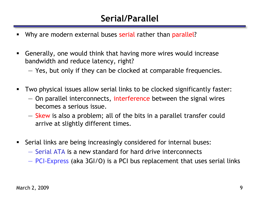## **Serial/Parallel**

- Why are modern external buses serial rather than parallel?
- Generally, one would think that having more wires would increase bandwidth and reduce latency, right?
	- Yes, but only if they can be clocked at comparable frequencies.
- Two physical issues allow serial links to be clocked significantly faster:
	- On parallel interconnects, interference between the signal wires becomes a serious issue.
	- Skew is also a problem; all of the bits in a parallel transfer could arrive at slightly different times.
- **Serial links are being increasingly considered for internal buses:** 
	- Serial ATA is a new standard for hard drive interconnects
	- PCI-Express (aka 3GI/O) is a PCI bus replacement that uses serial links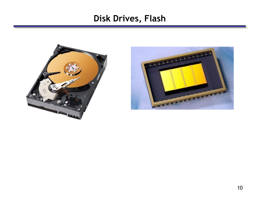#### **Disk Drives, Flash**



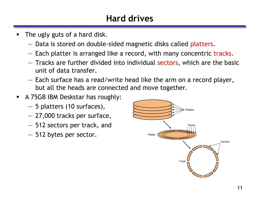## **Hard drives**

- The ugly guts of a hard disk.
	- Data is stored on double-sided magnetic disks called platters.
	- Each platter is arranged like a record, with many concentric tracks.
	- Tracks are further divided into individual sectors, which are the basic unit of data transfer.
	- Each surface has a read/write head like the arm on a record player, but all the heads are connected and move together.
- A 75GB IBM Deskstar has roughly:
	- 5 platters (10 surfaces),
	- 27,000 tracks per surface,
	- 512 sectors per track, and
	- 512 bytes per sector.

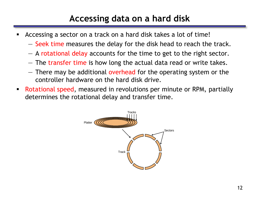## **Accessing data on a hard disk**

- Accessing a sector on a track on a hard disk takes a lot of time!
	- Seek time measures the delay for the disk head to reach the track.
	- A rotational delay accounts for the time to get to the right sector.
	- The transfer time is how long the actual data read or write takes.
	- There may be additional overhead for the operating system or the controller hardware on the hard disk drive.
- Rotational speed, measured in revolutions per minute or RPM, partially determines the rotational delay and transfer time.

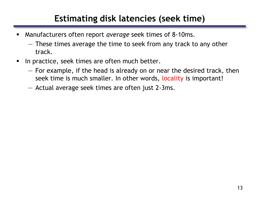### **Estimating disk latencies (seek time)**

- Manufacturers often report *average* seek times of 8-10ms.
	- These times average the time to seek from any track to any other track.
- In practice, seek times are often much better.
	- For example, if the head is already on or near the desired track, then seek time is much smaller. In other words, locality is important!
	- Actual average seek times are often just 2-3ms.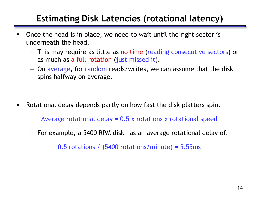### **Estimating Disk Latencies (rotational latency)**

- **-** Once the head is in place, we need to wait until the right sector is underneath the head.
	- This may require as little as no time (reading consecutive sectors) or as much as a full rotation (just missed it).
	- On average, for random reads/writes, we can assume that the disk spins halfway on average.

Rotational delay depends partly on how fast the disk platters spin.

Average rotational delay = 0.5 x rotations x rotational speed

— For example, a 5400 RPM disk has an average rotational delay of:

0.5 rotations / (5400 rotations/minute) = 5.55ms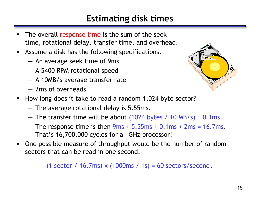### **Estimating disk times**

- The overall response time is the sum of the seek time, rotational delay, transfer time, and overhead.
- Assume a disk has the following specifications.
	- An average seek time of 9ms
	- A 5400 RPM rotational speed
	- A 10MB/s average transfer rate
	- 2ms of overheads



- How long does it take to read a random 1,024 byte sector?
	- The average rotational delay is 5.55ms.
	- $-$  The transfer time will be about (1024 bytes / 10 MB/s) = 0.1ms.
	- $-$  The response time is then  $9ms + 5.55ms + 0.1ms + 2ms = 16.7ms$ . That's 16,700,000 cycles for a 1GHz processor!
- One possible measure of throughput would be the number of random sectors that can be read in one second.

(1 sector / 16.7ms) x  $(1000ms / 1s) = 60$  sectors/second.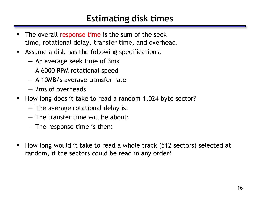#### **Estimating disk times**

- The overall response time is the sum of the seek time, rotational delay, transfer time, and overhead.
- Assume a disk has the following specifications.
	- An average seek time of 3ms
	- A 6000 RPM rotational speed
	- A 10MB/s average transfer rate
	- 2ms of overheads
- How long does it take to read a random 1,024 byte sector?
	- The average rotational delay is:
	- The transfer time will be about:
	- The response time is then:
- How long would it take to read a whole track (512 sectors) selected at random, if the sectors could be read in any order?